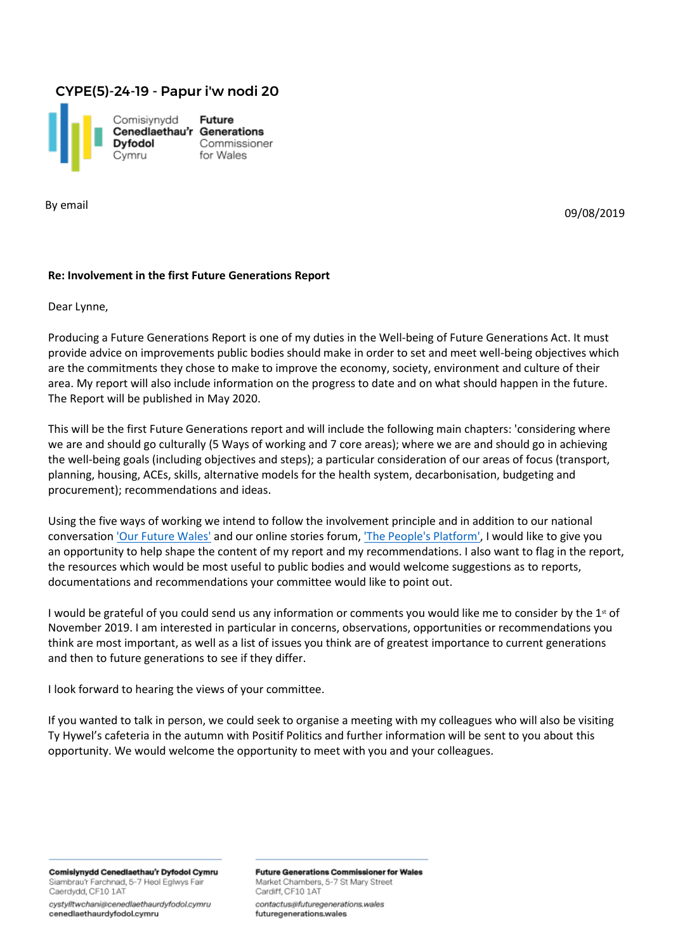## CYPE(5)-24-19 - Papur i'w nodi 20



By email

09/08/2019

## **Re: Involvement in the first Future Generations Report**

Dear Lynne,

Producing a Future Generations Report is one of my duties in the Well-being of Future Generations Act. It must provide advice on improvements public bodies should make in order to set and meet well-being objectives which are the commitments they chose to make to improve the economy, society, environment and culture of their area. My report will also include information on the progress to date and on what should happen in the future. The Report will be published in May 2020.

This will be the first Future Generations report and will include the following main chapters: 'considering where we are and should go culturally (5 Ways of working and 7 core areas); where we are and should go in achieving the well-being goals (including objectives and steps); a particular consideration of our areas of focus (transport, planning, housing, ACEs, skills, alternative models for the health system, decarbonisation, budgeting and procurement); recommendations and ideas.

Using the five ways of working we intend to follow the involvement principle and in addition to our national conversation ['Our Future](https://futuregenerations.wales/work/our-future-wales/) Wales' and our online stories forum, ['The People's](https://futuregenerations.wales/the-peoples-platform/) Platform', I would like to give you an opportunity to help shape the content of my report and my recommendations. I also want to flag in the report, the resources which would be most useful to public bodies and would welcome suggestions as to reports, documentations and recommendations your committee would like to point out.

I would be grateful of you could send us any information or comments you would like me to consider by the  $1<sup>st</sup>$  of November 2019. I am interested in particular in concerns, observations, opportunities or recommendations you think are most important, as well as a list of issues you think are of greatest importance to current generations and then to future generations to see if they differ.

I look forward to hearing the views of your committee.

If you wanted to talk in person, we could seek to organise a meeting with my colleagues who will also be visiting Ty Hywel's cafeteria in the autumn with Positif Politics and further information will be sent to you about this opportunity. We would welcome the opportunity to meet with you and your colleagues.

Comisiynydd Cenedlaethau'r Dyfodol Cymru Siambrau'r Farchnad, 5-7 Heol Eglwys Fair Caerdydd, CF10 1AT

cystylltwchani@cenedlaethaurdyfodol.cymru cenedlaethaurdyfodol.cymru

**Future Generations Commissioner for Wales** Market Chambers, 5-7 St Mary Street Cardiff, CF10 1AT contactus@futuregenerations.wales futuregenerations.wales